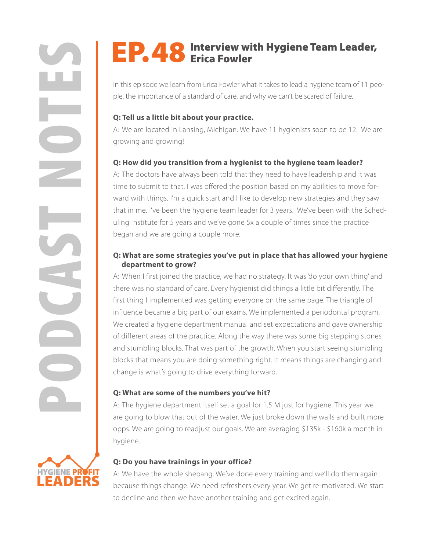In this episode we learn from Erica Fowler what it takes to lead a hygiene team of 11 people, the importance of a standard of care, and why we can't be scared of failure.

### **Q: Tell us a little bit about your practice.**

A: We are located in Lansing, Michigan. We have 11 hygienists soon to be 12. We are growing and growing!

# **Q: How did you transition from a hygienist to the hygiene team leader?**

A: The doctors have always been told that they need to have leadership and it was time to submit to that. I was offered the position based on my abilities to move forward with things. I'm a quick start and I like to develop new strategies and they saw that in me. I've been the hygiene team leader for 3 years. We've been with the Scheduling Institute for 5 years and we've gone 5x a couple of times since the practice began and we are going a couple more.

### **Q: What are some strategies you've put in place that has allowed your hygiene department to grow?**

**PODE THE SERVIEW WITH Hygiene Team Leader,**<br>This episode we learn from Enca Feover what it takes to lead a hygiene team of 11 per neb the importance of a vandard of stan, and with we mit the stand of fallow.<br> **2:** Fell us A: When I first joined the practice, we had no strategy. It was 'do your own thing' and there was no standard of care. Every hygienist did things a little bit differently. The first thing I implemented was getting everyone on the same page. The triangle of influence became a big part of our exams. We implemented a periodontal program. We created a hygiene department manual and set expectations and gave ownership of different areas of the practice. Along the way there was some big stepping stones and stumbling blocks. That was part of the growth. When you start seeing stumbling blocks that means you are doing something right. It means things are changing and change is what's going to drive everything forward.

# **Q: What are some of the numbers you've hit?**

A: The hygiene department itself set a goal for 1.5 M just for hygiene. This year we are going to blow that out of the water. We just broke down the walls and built more opps. We are going to readjust our goals. We are averaging \$135k - \$160k a month in hygiene.

# **Q: Do you have trainings in your office?**

A: We have the whole shebang. We've done every training and we'll do them again because things change. We need refreshers every year. We get re-motivated. We start to decline and then we have another training and get excited again.